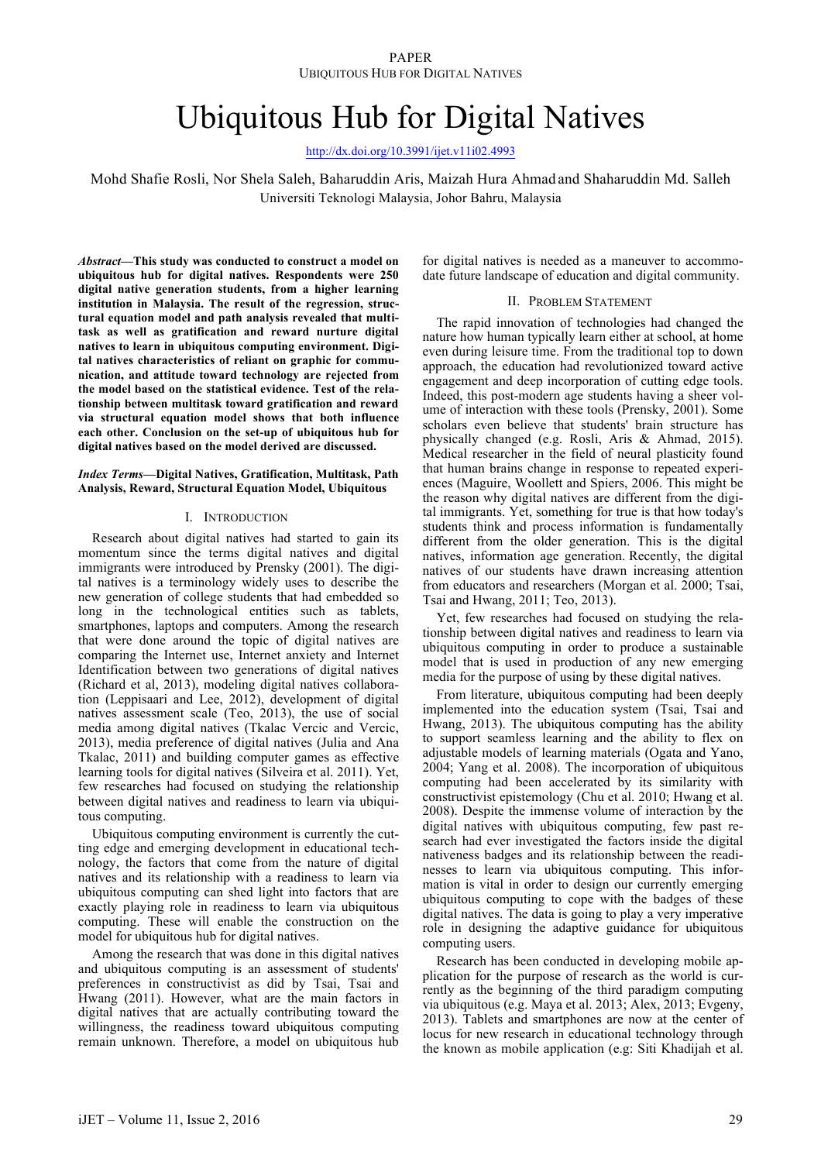# Ubiquitous Hub for Digital Natives

http://dx.doi.org/10.3991/ijet.v11i02.4993

Mohd Shafie Rosli, Nor Shela Saleh, Baharuddin Aris, Maizah Hura Ahmad and Shaharuddin Md. Salleh Universiti Teknologi Malaysia, Johor Bahru, Malaysia

*Abstract***—This study was conducted to construct a model on ubiquitous hub for digital natives. Respondents were 250 digital native generation students, from a higher learning institution in Malaysia. The result of the regression, structural equation model and path analysis revealed that multitask as well as gratification and reward nurture digital natives to learn in ubiquitous computing environment. Digital natives characteristics of reliant on graphic for communication, and attitude toward technology are rejected from the model based on the statistical evidence. Test of the relationship between multitask toward gratification and reward via structural equation model shows that both influence each other. Conclusion on the set-up of ubiquitous hub for digital natives based on the model derived are discussed.**

#### *Index Terms***—Digital Natives, Gratification, Multitask, Path Analysis, Reward, Structural Equation Model, Ubiquitous**

#### I. INTRODUCTION

Research about digital natives had started to gain its momentum since the terms digital natives and digital immigrants were introduced by Prensky (2001). The digital natives is a terminology widely uses to describe the new generation of college students that had embedded so long in the technological entities such as tablets, smartphones, laptops and computers. Among the research that were done around the topic of digital natives are comparing the Internet use, Internet anxiety and Internet Identification between two generations of digital natives (Richard et al, 2013), modeling digital natives collaboration (Leppisaari and Lee, 2012), development of digital natives assessment scale (Teo, 2013), the use of social media among digital natives (Tkalac Vercic and Vercic, 2013), media preference of digital natives (Julia and Ana Tkalac, 2011) and building computer games as effective learning tools for digital natives (Silveira et al. 2011). Yet, few researches had focused on studying the relationship between digital natives and readiness to learn via ubiquitous computing.

Ubiquitous computing environment is currently the cutting edge and emerging development in educational technology, the factors that come from the nature of digital natives and its relationship with a readiness to learn via ubiquitous computing can shed light into factors that are exactly playing role in readiness to learn via ubiquitous computing. These will enable the construction on the model for ubiquitous hub for digital natives.

Among the research that was done in this digital natives and ubiquitous computing is an assessment of students' preferences in constructivist as did by Tsai, Tsai and Hwang (2011). However, what are the main factors in digital natives that are actually contributing toward the willingness, the readiness toward ubiquitous computing remain unknown. Therefore, a model on ubiquitous hub

for digital natives is needed as a maneuver to accommodate future landscape of education and digital community.

#### II. PROBLEM STATEMENT

The rapid innovation of technologies had changed the nature how human typically learn either at school, at home even during leisure time. From the traditional top to down approach, the education had revolutionized toward active engagement and deep incorporation of cutting edge tools. Indeed, this post-modern age students having a sheer volume of interaction with these tools (Prensky, 2001). Some scholars even believe that students' brain structure has physically changed (e.g. Rosli, Aris & Ahmad, 2015). Medical researcher in the field of neural plasticity found that human brains change in response to repeated experiences (Maguire, Woollett and Spiers, 2006. This might be the reason why digital natives are different from the digital immigrants. Yet, something for true is that how today's students think and process information is fundamentally different from the older generation. This is the digital natives, information age generation. Recently, the digital natives of our students have drawn increasing attention from educators and researchers (Morgan et al. 2000; Tsai, Tsai and Hwang, 2011; Teo, 2013).

Yet, few researches had focused on studying the relationship between digital natives and readiness to learn via ubiquitous computing in order to produce a sustainable model that is used in production of any new emerging media for the purpose of using by these digital natives.

From literature, ubiquitous computing had been deeply implemented into the education system (Tsai, Tsai and Hwang, 2013). The ubiquitous computing has the ability to support seamless learning and the ability to flex on adjustable models of learning materials (Ogata and Yano, 2004; Yang et al. 2008). The incorporation of ubiquitous computing had been accelerated by its similarity with constructivist epistemology (Chu et al. 2010; Hwang et al. 2008). Despite the immense volume of interaction by the digital natives with ubiquitous computing, few past research had ever investigated the factors inside the digital nativeness badges and its relationship between the readinesses to learn via ubiquitous computing. This information is vital in order to design our currently emerging ubiquitous computing to cope with the badges of these digital natives. The data is going to play a very imperative role in designing the adaptive guidance for ubiquitous computing users.

Research has been conducted in developing mobile application for the purpose of research as the world is currently as the beginning of the third paradigm computing via ubiquitous (e.g. Maya et al. 2013; Alex, 2013; Evgeny, 2013). Tablets and smartphones are now at the center of locus for new research in educational technology through the known as mobile application (e.g: Siti Khadijah et al.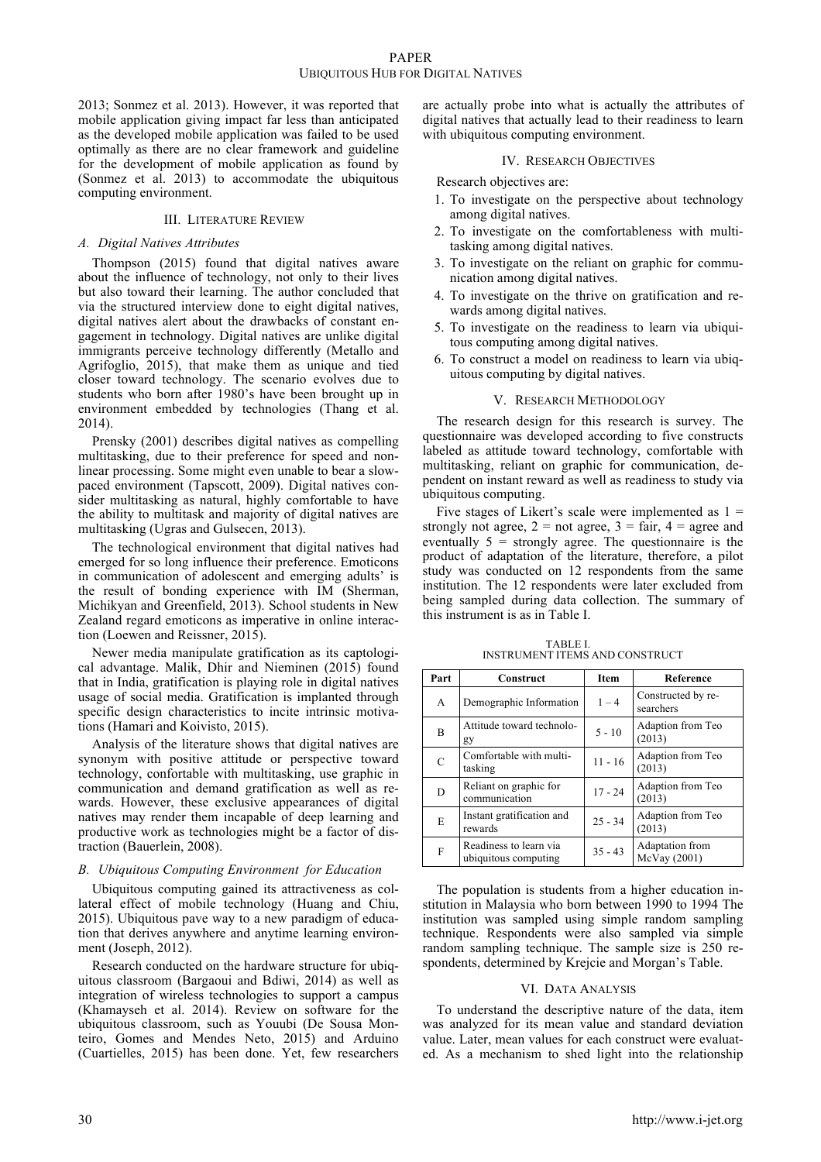2013; Sonmez et al. 2013). However, it was reported that mobile application giving impact far less than anticipated as the developed mobile application was failed to be used optimally as there are no clear framework and guideline for the development of mobile application as found by (Sonmez et al. 2013) to accommodate the ubiquitous computing environment.

## III. LITERATURE REVIEW

## *A. Digital Natives Attributes*

Thompson (2015) found that digital natives aware about the influence of technology, not only to their lives but also toward their learning. The author concluded that via the structured interview done to eight digital natives, digital natives alert about the drawbacks of constant engagement in technology. Digital natives are unlike digital immigrants perceive technology differently (Metallo and Agrifoglio, 2015), that make them as unique and tied closer toward technology. The scenario evolves due to students who born after 1980's have been brought up in environment embedded by technologies (Thang et al. 2014).

Prensky (2001) describes digital natives as compelling multitasking, due to their preference for speed and nonlinear processing. Some might even unable to bear a slowpaced environment (Tapscott, 2009). Digital natives consider multitasking as natural, highly comfortable to have the ability to multitask and majority of digital natives are multitasking (Ugras and Gulsecen, 2013).

The technological environment that digital natives had emerged for so long influence their preference. Emoticons in communication of adolescent and emerging adults' is the result of bonding experience with IM (Sherman, Michikyan and Greenfield, 2013). School students in New Zealand regard emoticons as imperative in online interaction (Loewen and Reissner, 2015).

Newer media manipulate gratification as its captological advantage. Malik, Dhir and Nieminen (2015) found that in India, gratification is playing role in digital natives usage of social media. Gratification is implanted through specific design characteristics to incite intrinsic motivations (Hamari and Koivisto, 2015).

Analysis of the literature shows that digital natives are synonym with positive attitude or perspective toward technology, confortable with multitasking, use graphic in communication and demand gratification as well as rewards. However, these exclusive appearances of digital natives may render them incapable of deep learning and productive work as technologies might be a factor of distraction (Bauerlein, 2008).

# *B. Ubiquitous Computing Environment for Education*

Ubiquitous computing gained its attractiveness as collateral effect of mobile technology (Huang and Chiu, 2015). Ubiquitous pave way to a new paradigm of education that derives anywhere and anytime learning environment (Joseph, 2012).

Research conducted on the hardware structure for ubiquitous classroom (Bargaoui and Bdiwi, 2014) as well as integration of wireless technologies to support a campus (Khamayseh et al. 2014). Review on software for the ubiquitous classroom, such as Youubi (De Sousa Monteiro, Gomes and Mendes Neto, 2015) and Arduino (Cuartielles, 2015) has been done. Yet, few researchers are actually probe into what is actually the attributes of digital natives that actually lead to their readiness to learn with ubiquitous computing environment.

#### IV. RESEARCH OBJECTIVES

Research objectives are:

- 1. To investigate on the perspective about technology among digital natives.
- 2. To investigate on the comfortableness with multitasking among digital natives.
- 3. To investigate on the reliant on graphic for communication among digital natives.
- 4. To investigate on the thrive on gratification and rewards among digital natives.
- 5. To investigate on the readiness to learn via ubiquitous computing among digital natives.
- 6. To construct a model on readiness to learn via ubiquitous computing by digital natives.

## V. RESEARCH METHODOLOGY

The research design for this research is survey. The questionnaire was developed according to five constructs labeled as attitude toward technology, comfortable with multitasking, reliant on graphic for communication, dependent on instant reward as well as readiness to study via ubiquitous computing.

Five stages of Likert's scale were implemented as  $1 =$ strongly not agree,  $2 =$  not agree,  $3 =$  fair,  $4 =$  agree and eventually  $5 =$  strongly agree. The questionnaire is the product of adaptation of the literature, therefore, a pilot study was conducted on 12 respondents from the same institution. The 12 respondents were later excluded from being sampled during data collection. The summary of this instrument is as in Table I.

TABLE I. INSTRUMENT ITEMS AND CONSTRUCT

| Part | Construct                                      | Item      | Reference                       |
|------|------------------------------------------------|-----------|---------------------------------|
| A    | Demographic Information                        | $1 - 4$   | Constructed by re-<br>searchers |
| B    | Attitude toward technolo-<br>gy                | $5 - 10$  | Adaption from Teo<br>(2013)     |
| С    | Comfortable with multi-<br>tasking             | $11 - 16$ | Adaption from Teo<br>(2013)     |
| D    | Reliant on graphic for<br>communication        | $17 - 24$ | Adaption from Teo<br>(2013)     |
| E    | Instant gratification and<br>rewards           | $25 - 34$ | Adaption from Teo<br>(2013)     |
| F    | Readiness to learn via<br>ubiquitous computing | $35 - 43$ | Adaptation from<br>McVay (2001) |

The population is students from a higher education institution in Malaysia who born between 1990 to 1994 The institution was sampled using simple random sampling technique. Respondents were also sampled via simple random sampling technique. The sample size is 250 respondents, determined by Krejcie and Morgan's Table.

# VI. DATA ANALYSIS

To understand the descriptive nature of the data, item was analyzed for its mean value and standard deviation value. Later, mean values for each construct were evaluated. As a mechanism to shed light into the relationship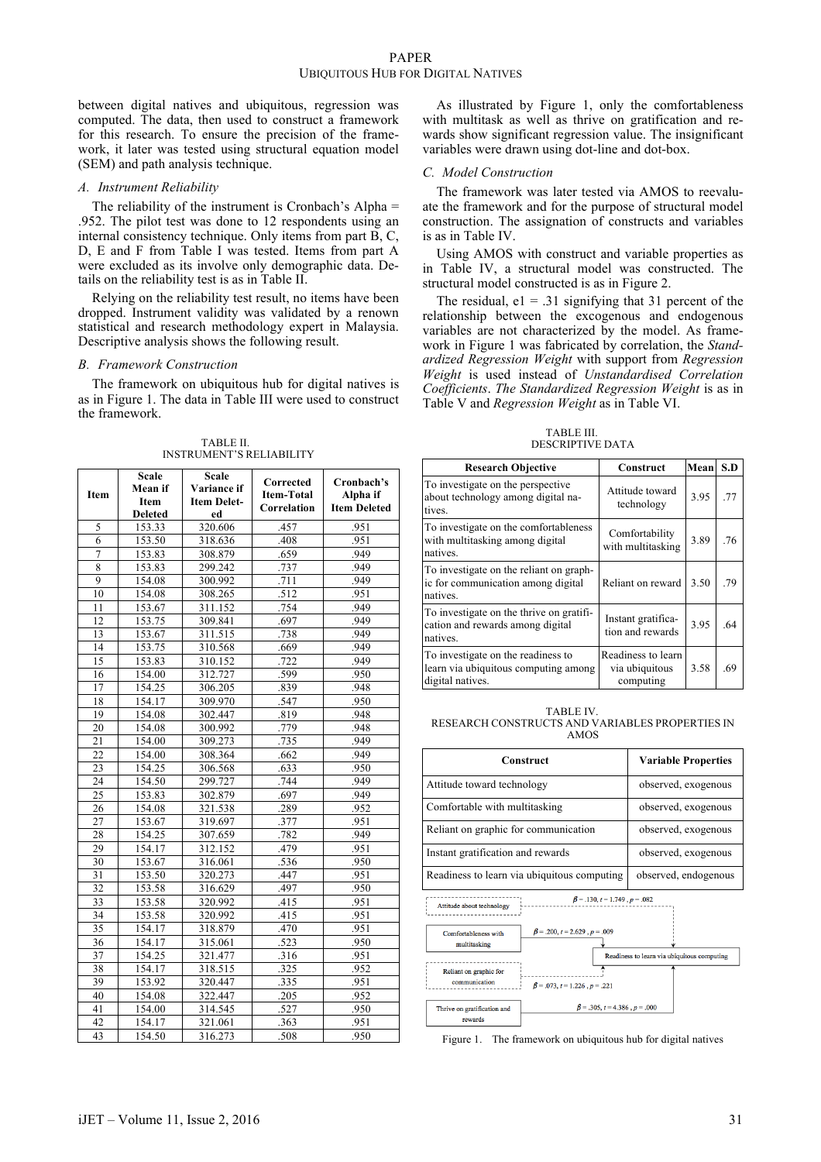between digital natives and ubiquitous, regression was computed. The data, then used to construct a framework for this research. To ensure the precision of the framework, it later was tested using structural equation model (SEM) and path analysis technique.

## *A. Instrument Reliability*

The reliability of the instrument is Cronbach's Alpha = .952. The pilot test was done to 12 respondents using an internal consistency technique. Only items from part B, C, D, E and F from Table I was tested. Items from part A were excluded as its involve only demographic data. Details on the reliability test is as in Table II.

Relying on the reliability test result, no items have been dropped. Instrument validity was validated by a renown statistical and research methodology expert in Malaysia. Descriptive analysis shows the following result.

#### *B. Framework Construction*

The framework on ubiquitous hub for digital natives is as in Figure 1. The data in Table III were used to construct the framework.

| Item            | <b>Scale</b><br>Mean if<br>Item<br><b>Deleted</b> | <b>Scale</b><br>Variance if<br><b>Item Delet-</b><br>ed | Corrected<br><b>Item-Total</b><br>Correlation | Cronbach's<br>Alpha if<br><b>Item Deleted</b> |
|-----------------|---------------------------------------------------|---------------------------------------------------------|-----------------------------------------------|-----------------------------------------------|
| 5               | 153.33                                            | 320.606                                                 | .457                                          | .951                                          |
| 6               | 153.50                                            | 318.636                                                 | .408                                          | .951                                          |
| $\overline{7}$  | 153.83                                            | 308.879                                                 | .659                                          | .949                                          |
| 8               | 153.83                                            | 299.242                                                 | .737                                          | .949                                          |
| 9               | 154.08                                            | 300.992                                                 | .711                                          | .949                                          |
| 10              | 154.08                                            | 308.265                                                 | .512                                          | .951                                          |
| 11              | 153.67                                            | 311.152                                                 | .754                                          | .949                                          |
| 12              | 153.75                                            | 309.841                                                 | .697                                          | .949                                          |
| 13              | 153.67                                            | 311.515                                                 | .738                                          | .949                                          |
| 14              | 153.75                                            | 310.568                                                 | .669                                          | .949                                          |
| 15              | 153.83                                            | 310.152                                                 | .722                                          | .949                                          |
| 16              | 154.00                                            | 312.727                                                 | .599                                          | .950                                          |
| 17              | 154.25                                            | 306.205                                                 | .839                                          | .948                                          |
| 18              | 154.17                                            | 309.970                                                 | .547                                          | .950                                          |
| 19              | 154.08                                            | 302.447                                                 | .819                                          | .948                                          |
| 20              | 154.08                                            | 300.992                                                 | .779                                          | .948                                          |
| 21              | 154.00                                            | 309.273                                                 | .735                                          | .949                                          |
| $\overline{22}$ | 154.00                                            | 308.364                                                 | .662                                          | .949                                          |
| 23              | 154.25                                            | 306.568                                                 | .633                                          | .950                                          |
| 24              | 154.50                                            | 299.727                                                 | .744                                          | .949                                          |
| 25              | 153.83                                            | 302.879                                                 | .697                                          | .949                                          |
| $\overline{26}$ | 154.08                                            | 321.538                                                 | .289                                          | .952                                          |
| 27              | 153.67                                            | 319.697                                                 | .377                                          | .951                                          |
| 28              | 154.25                                            | 307.659                                                 | .782                                          | .949                                          |
| 29              | 154.17                                            | 312.152                                                 | .479                                          | .951                                          |
| 30              | 153.67                                            | 316.061                                                 | .536                                          | .950                                          |
| 31              | 153.50                                            | 320.273                                                 | .447                                          | .951                                          |
| 32              | 153.58                                            | 316.629                                                 | .497                                          | .950                                          |
| $\overline{33}$ | 153.58                                            | 320.992                                                 | .415                                          | .951                                          |
| 34              | 153.58                                            | 320.992                                                 | .415                                          | .951                                          |
| 35              | 154.17                                            | 318.879                                                 | .470                                          | .951                                          |
| 36              | 154.17                                            | 315.061                                                 | .523                                          | .950                                          |
| 37              | 154.25                                            | 321.477                                                 | .316                                          | .951                                          |
| 38              | 154.17                                            | 318.515                                                 | .325                                          | .952                                          |
| 39              | 153.92                                            | 320.447                                                 | .335                                          | .951                                          |
| 40              | 154.08                                            | 322.447                                                 | .205                                          | .952                                          |
| 41              | 154.00                                            | 314.545                                                 | .527                                          | .950                                          |
| 42              | 154.17                                            | 321.061                                                 | .363                                          | .951                                          |
| 43              | 154.50                                            | 316.273                                                 | 508                                           | .950                                          |

TABLE II. INSTRUMENT'S RELIABILITY

As illustrated by Figure 1, only the comfortableness with multitask as well as thrive on gratification and rewards show significant regression value. The insignificant variables were drawn using dot-line and dot-box.

### *C. Model Construction*

The framework was later tested via AMOS to reevaluate the framework and for the purpose of structural model construction. The assignation of constructs and variables is as in Table IV.

Using AMOS with construct and variable properties as in Table IV, a structural model was constructed. The structural model constructed is as in Figure 2.

The residual,  $e1 = .31$  signifying that 31 percent of the relationship between the excogenous and endogenous variables are not characterized by the model. As framework in Figure 1 was fabricated by correlation, the *Standardized Regression Weight* with support from *Regression Weight* is used instead of *Unstandardised Correlation Coefficients*. *The Standardized Regression Weight* is as in Table V and *Regression Weight* as in Table VI.

TABLE III. DESCRIPTIVE DATA

| <b>Research Objective</b>                                                                      | Construct                                         | Mean | S.D |
|------------------------------------------------------------------------------------------------|---------------------------------------------------|------|-----|
| To investigate on the perspective<br>about technology among digital na-<br>tives.              | Attitude toward<br>technology                     | 3.95 | .77 |
| To investigate on the comfortableness<br>with multitasking among digital<br>natives.           | Comfortability<br>with multitasking               | 3.89 | .76 |
| To investigate on the reliant on graph-<br>ic for communication among digital<br>natives.      | Reliant on reward                                 | 3.50 | .79 |
| To investigate on the thrive on gratifi-<br>cation and rewards among digital<br>natives.       | Instant gratifica-<br>tion and rewards            | 3.95 | .64 |
| To investigate on the readiness to<br>learn via ubiquitous computing among<br>digital natives. | Readiness to learn<br>via ubiquitous<br>computing | 3.58 | .69 |

TABLE IV. RESEARCH CONSTRUCTS AND VARIABLES PROPERTIES IN AMOS

| Construct                                                        | <b>Variable Properties</b> |  |
|------------------------------------------------------------------|----------------------------|--|
| Attitude toward technology                                       | observed, exogenous        |  |
| Comfortable with multitasking                                    | observed, exogenous        |  |
| Reliant on graphic for communication                             | observed, exogenous        |  |
| Instant gratification and rewards                                | observed, exogenous        |  |
| Readiness to learn via ubiquitous computing                      | observed, endogenous       |  |
| $\beta = .130, t = 1.749, p = .082$<br>Attitude about technology |                            |  |



Figure 1. The framework on ubiquitous hub for digital natives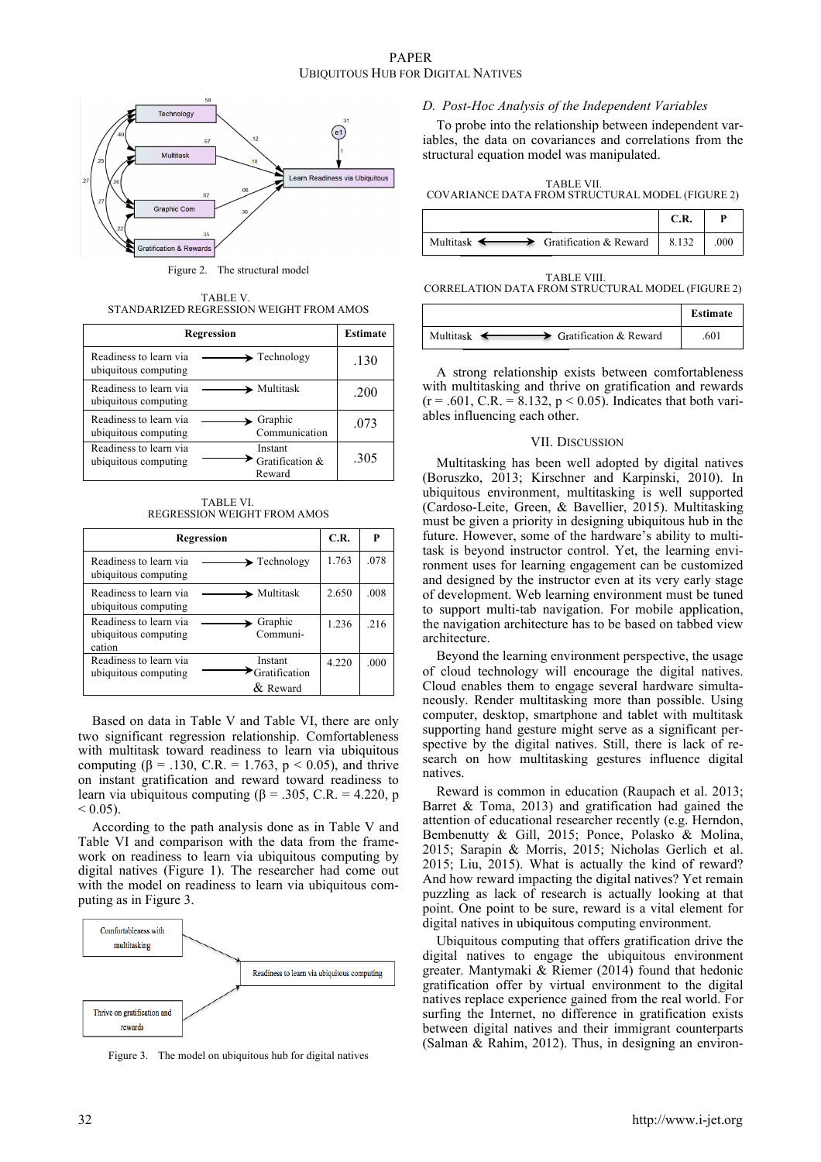

Figure 2. The structural model

TABLE V. STANDARIZED REGRESSION WEIGHT FROM AMOS

| <b>Regression</b>                              | <b>Estimate</b>                                |      |
|------------------------------------------------|------------------------------------------------|------|
| Readiness to learn via<br>ubiquitous computing | $\rightarrow$ Technology                       | .130 |
| Readiness to learn via<br>ubiquitous computing | $\blacktriangleright$ Multitask                | .200 |
| Readiness to learn via<br>ubiquitous computing | $\blacktriangleright$ Graphic<br>Communication | .073 |
| Readiness to learn via<br>ubiquitous computing | Instant<br>Gratification &<br>Reward           | .305 |

TABLE VI. REGRESSION WEIGHT FROM AMOS

|                                                          | Regression                             | C.R.    | P    |
|----------------------------------------------------------|----------------------------------------|---------|------|
| Readiness to learn via<br>ubiquitous computing           | $\blacktriangleright$ Technology       | 1.763   | .078 |
| Readiness to learn via<br>ubiquitous computing           | $\blacktriangleright$ Multitask        | 2.650   | .008 |
| Readiness to learn via<br>ubiquitous computing<br>cation | Graphic<br>Communi-                    | 1.236   | 216  |
| Readiness to learn via<br>ubiquitous computing           | Instant<br>Gratification<br>$&$ Reward | 4 2 2 0 | .000 |

Based on data in Table V and Table VI, there are only two significant regression relationship. Comfortableness with multitask toward readiness to learn via ubiquitous computing ( $\beta$  = .130, C.R. = 1.763,  $p$  < 0.05), and thrive on instant gratification and reward toward readiness to learn via ubiquitous computing ( $\beta$  = .305, C.R. = 4.220, p  $< 0.05$ ).

According to the path analysis done as in Table V and Table VI and comparison with the data from the framework on readiness to learn via ubiquitous computing by digital natives (Figure 1). The researcher had come out with the model on readiness to learn via ubiquitous computing as in Figure 3.



Figure 3. The model on ubiquitous hub for digital natives

## *D. Post-Hoc Analysis of the Independent Variables*

To probe into the relationship between independent variables, the data on covariances and correlations from the structural equation model was manipulated.

TABLE VII. COVARIANCE DATA FROM STRUCTURAL MODEL (FIGURE 2)

|                                                                | C.R. |      |
|----------------------------------------------------------------|------|------|
| Multitask $\longleftrightarrow$ Gratification & Reward   8.132 |      | .000 |

TABLE VIII. CORRELATION DATA FROM STRUCTURAL MODEL (FIGURE 2)

|                                                                   | <b>Estimate</b> |
|-------------------------------------------------------------------|-----------------|
| $\rightarrow$ Gratification & Reward<br>Multitask $\triangleleft$ | 601             |

A strong relationship exists between comfortableness with multitasking and thrive on gratification and rewards  $(r = .601, C.R. = 8.132, p < 0.05)$ . Indicates that both variables influencing each other.

#### VII. DISCUSSION

Multitasking has been well adopted by digital natives (Boruszko, 2013; Kirschner and Karpinski, 2010). In ubiquitous environment, multitasking is well supported (Cardoso-Leite, Green, & Bavellier, 2015). Multitasking must be given a priority in designing ubiquitous hub in the future. However, some of the hardware's ability to multitask is beyond instructor control. Yet, the learning environment uses for learning engagement can be customized and designed by the instructor even at its very early stage of development. Web learning environment must be tuned to support multi-tab navigation. For mobile application, the navigation architecture has to be based on tabbed view architecture.

Beyond the learning environment perspective, the usage of cloud technology will encourage the digital natives. Cloud enables them to engage several hardware simultaneously. Render multitasking more than possible. Using computer, desktop, smartphone and tablet with multitask supporting hand gesture might serve as a significant perspective by the digital natives. Still, there is lack of research on how multitasking gestures influence digital natives.

Reward is common in education (Raupach et al. 2013; Barret & Toma, 2013) and gratification had gained the attention of educational researcher recently (e.g. Herndon, Bembenutty & Gill, 2015; Ponce, Polasko & Molina, 2015; Sarapin & Morris, 2015; Nicholas Gerlich et al. 2015; Liu, 2015). What is actually the kind of reward? And how reward impacting the digital natives? Yet remain puzzling as lack of research is actually looking at that point. One point to be sure, reward is a vital element for digital natives in ubiquitous computing environment.

Ubiquitous computing that offers gratification drive the digital natives to engage the ubiquitous environment greater. Mantymaki & Riemer (2014) found that hedonic gratification offer by virtual environment to the digital natives replace experience gained from the real world. For surfing the Internet, no difference in gratification exists between digital natives and their immigrant counterparts (Salman & Rahim, 2012). Thus, in designing an environ-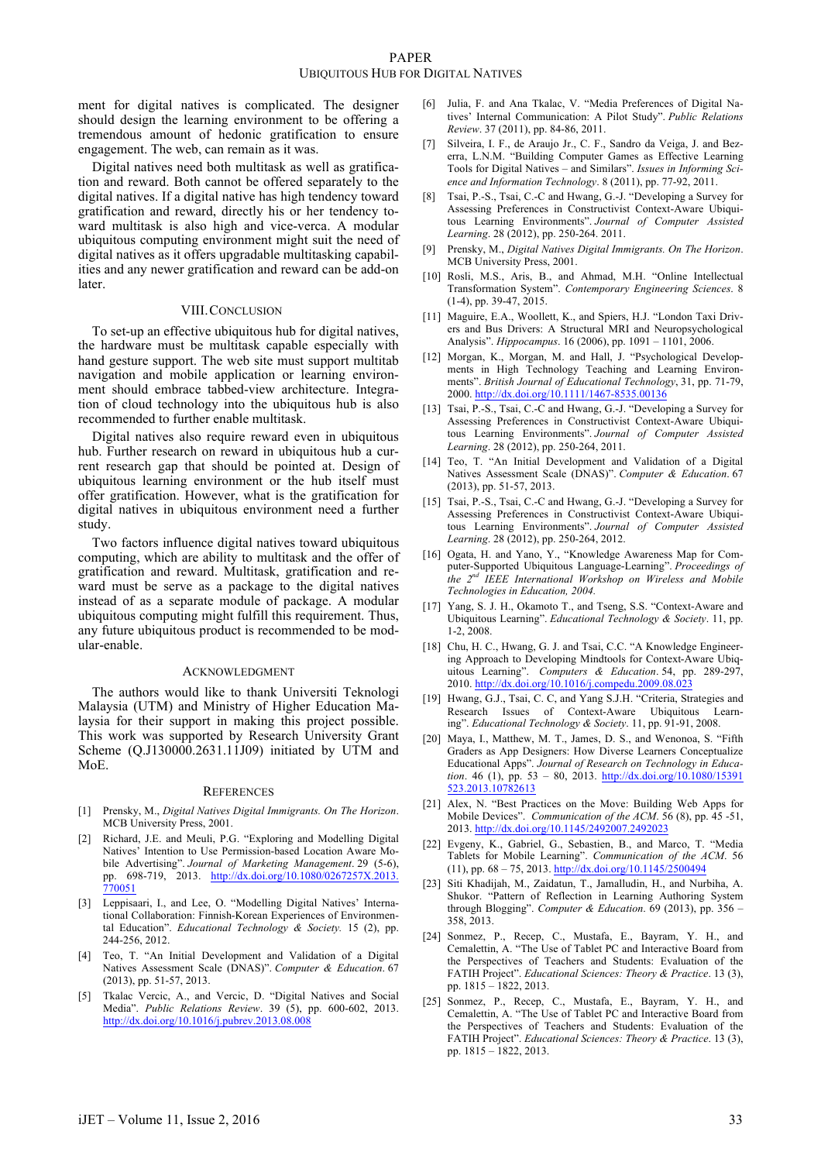ment for digital natives is complicated. The designer should design the learning environment to be offering a tremendous amount of hedonic gratification to ensure engagement. The web, can remain as it was.

Digital natives need both multitask as well as gratification and reward. Both cannot be offered separately to the digital natives. If a digital native has high tendency toward gratification and reward, directly his or her tendency toward multitask is also high and vice-verca. A modular ubiquitous computing environment might suit the need of digital natives as it offers upgradable multitasking capabilities and any newer gratification and reward can be add-on later.

#### VIII.CONCLUSION

To set-up an effective ubiquitous hub for digital natives, the hardware must be multitask capable especially with hand gesture support. The web site must support multitab navigation and mobile application or learning environment should embrace tabbed-view architecture. Integration of cloud technology into the ubiquitous hub is also recommended to further enable multitask.

Digital natives also require reward even in ubiquitous hub. Further research on reward in ubiquitous hub a current research gap that should be pointed at. Design of ubiquitous learning environment or the hub itself must offer gratification. However, what is the gratification for digital natives in ubiquitous environment need a further study.

Two factors influence digital natives toward ubiquitous computing, which are ability to multitask and the offer of gratification and reward. Multitask, gratification and reward must be serve as a package to the digital natives instead of as a separate module of package. A modular ubiquitous computing might fulfill this requirement. Thus, any future ubiquitous product is recommended to be modular-enable.

#### ACKNOWLEDGMENT

The authors would like to thank Universiti Teknologi Malaysia (UTM) and Ministry of Higher Education Malaysia for their support in making this project possible. This work was supported by Research University Grant Scheme (Q.J130000.2631.11J09) initiated by UTM and MoE.

#### **REFERENCES**

- [1] Prensky, M., *Digital Natives Digital Immigrants. On The Horizon*. MCB University Press, 2001.
- [2] Richard, J.E. and Meuli, P.G. "Exploring and Modelling Digital Natives' Intention to Use Permission-based Location Aware Mobile Advertising". *Journal of Marketing Management*. 29 (5-6), pp. 698-719, 2013. http://dx.doi.org/10.1080/0267257X.2013. 770051
- [3] Leppisaari, I., and Lee, O. "Modelling Digital Natives' International Collaboration: Finnish-Korean Experiences of Environmental Education". *Educational Technology & Society.* 15 (2), pp. 244-256, 2012.
- [4] Teo, T. "An Initial Development and Validation of a Digital Natives Assessment Scale (DNAS)". *Computer & Education*. 67 (2013), pp. 51-57, 2013.
- [5] Tkalac Vercic, A., and Vercic, D. "Digital Natives and Social Media". *Public Relations Review*. 39 (5), pp. 600-602, 2013. http://dx.doi.org/10.1016/j.pubrev.2013.08.008
- [6] Julia, F. and Ana Tkalac, V. "Media Preferences of Digital Natives' Internal Communication: A Pilot Study". *Public Relations Review*. 37 (2011), pp. 84-86, 2011.
- [7] Silveira, I. F., de Araujo Jr., C. F., Sandro da Veiga, J. and Bezerra, L.N.M. "Building Computer Games as Effective Learning Tools for Digital Natives – and Similars". *Issues in Informing Science and Information Technology*. 8 (2011), pp. 77-92, 2011.
- [8] Tsai, P.-S., Tsai, C.-C and Hwang, G.-J. "Developing a Survey for Assessing Preferences in Constructivist Context-Aware Ubiquitous Learning Environments". *Journal of Computer Assisted Learning*. 28 (2012), pp. 250-264. 2011.
- [9] Prensky, M., *Digital Natives Digital Immigrants. On The Horizon*. MCB University Press, 2001.
- [10] Rosli, M.S., Aris, B., and Ahmad, M.H. "Online Intellectual Transformation System". *Contemporary Engineering Sciences*. 8 (1-4), pp. 39-47, 2015.
- [11] Maguire, E.A., Woollett, K., and Spiers, H.J. "London Taxi Drivers and Bus Drivers: A Structural MRI and Neuropsychological Analysis". *Hippocampus*. 16 (2006), pp. 1091 – 1101, 2006.
- [12] Morgan, K., Morgan, M. and Hall, J. "Psychological Developments in High Technology Teaching and Learning Environments". *British Journal of Educational Technology*, 31, pp. 71-79, 2000. http://dx.doi.org/10.1111/1467-8535.00136
- [13] Tsai, P.-S., Tsai, C.-C and Hwang, G.-J. "Developing a Survey for Assessing Preferences in Constructivist Context-Aware Ubiquitous Learning Environments". *Journal of Computer Assisted Learning*. 28 (2012), pp. 250-264, 2011.
- [14] Teo, T. "An Initial Development and Validation of a Digital Natives Assessment Scale (DNAS)". *Computer & Education*. 67 (2013), pp. 51-57, 2013.
- [15] Tsai, P.-S., Tsai, C.-C and Hwang, G.-J. "Developing a Survey for Assessing Preferences in Constructivist Context-Aware Ubiquitous Learning Environments". *Journal of Computer Assisted Learning*. 28 (2012), pp. 250-264, 2012.
- [16] Ogata, H. and Yano, Y., "Knowledge Awareness Map for Computer-Supported Ubiquitous Language-Learning". *Proceedings of the 2nd IEEE International Workshop on Wireless and Mobile Technologies in Education, 2004.*
- [17] Yang, S. J. H., Okamoto T., and Tseng, S.S. "Context-Aware and Ubiquitous Learning". *Educational Technology & Society*. 11, pp. 1-2, 2008.
- [18] Chu, H. C., Hwang, G. J. and Tsai, C.C. "A Knowledge Engineering Approach to Developing Mindtools for Context-Aware Ubiquitous Learning". *Computers & Education*. 54, pp. 289-297, 2010. http://dx.doi.org/10.1016/j.compedu.2009.08.023
- [19] Hwang, G.J., Tsai, C. C, and Yang S.J.H. "Criteria, Strategies and Research Issues of Context-Aware Ubiquitous Learning". *Educational Technology & Society*. 11, pp. 91-91, 2008.
- [20] Maya, I., Matthew, M. T., James, D. S., and Wenonoa, S. "Fifth Graders as App Designers: How Diverse Learners Conceptualize Educational Apps". *Journal of Research on Technology in Education*. 46 (1), pp. 53 – 80, 2013. http://dx.doi.org/10.1080/15391 523.2013.10782613
- [21] Alex, N. "Best Practices on the Move: Building Web Apps for Mobile Devices". *Communication of the ACM*. 56 (8), pp. 45 -51, 2013. http://dx.doi.org/10.1145/2492007.2492023
- [22] Evgeny, K., Gabriel, G., Sebastien, B., and Marco, T. "Media Tablets for Mobile Learning". *Communication of the ACM*. 56 (11), pp. 68 – 75, 2013. http://dx.doi.org/10.1145/2500494
- [23] Siti Khadijah, M., Zaidatun, T., Jamalludin, H., and Nurbiha, A. Shukor. "Pattern of Reflection in Learning Authoring System through Blogging". *Computer & Education*. 69 (2013), pp. 356 – 358, 2013.
- [24] Sonmez, P., Recep, C., Mustafa, E., Bayram, Y. H., and Cemalettin, A. "The Use of Tablet PC and Interactive Board from the Perspectives of Teachers and Students: Evaluation of the FATIH Project". *Educational Sciences: Theory & Practice*. 13 (3), pp. 1815 – 1822, 2013.
- [25] Sonmez, P., Recep, C., Mustafa, E., Bayram, Y. H., and Cemalettin, A. "The Use of Tablet PC and Interactive Board from the Perspectives of Teachers and Students: Evaluation of the FATIH Project". *Educational Sciences: Theory & Practice*. 13 (3), pp. 1815 – 1822, 2013.